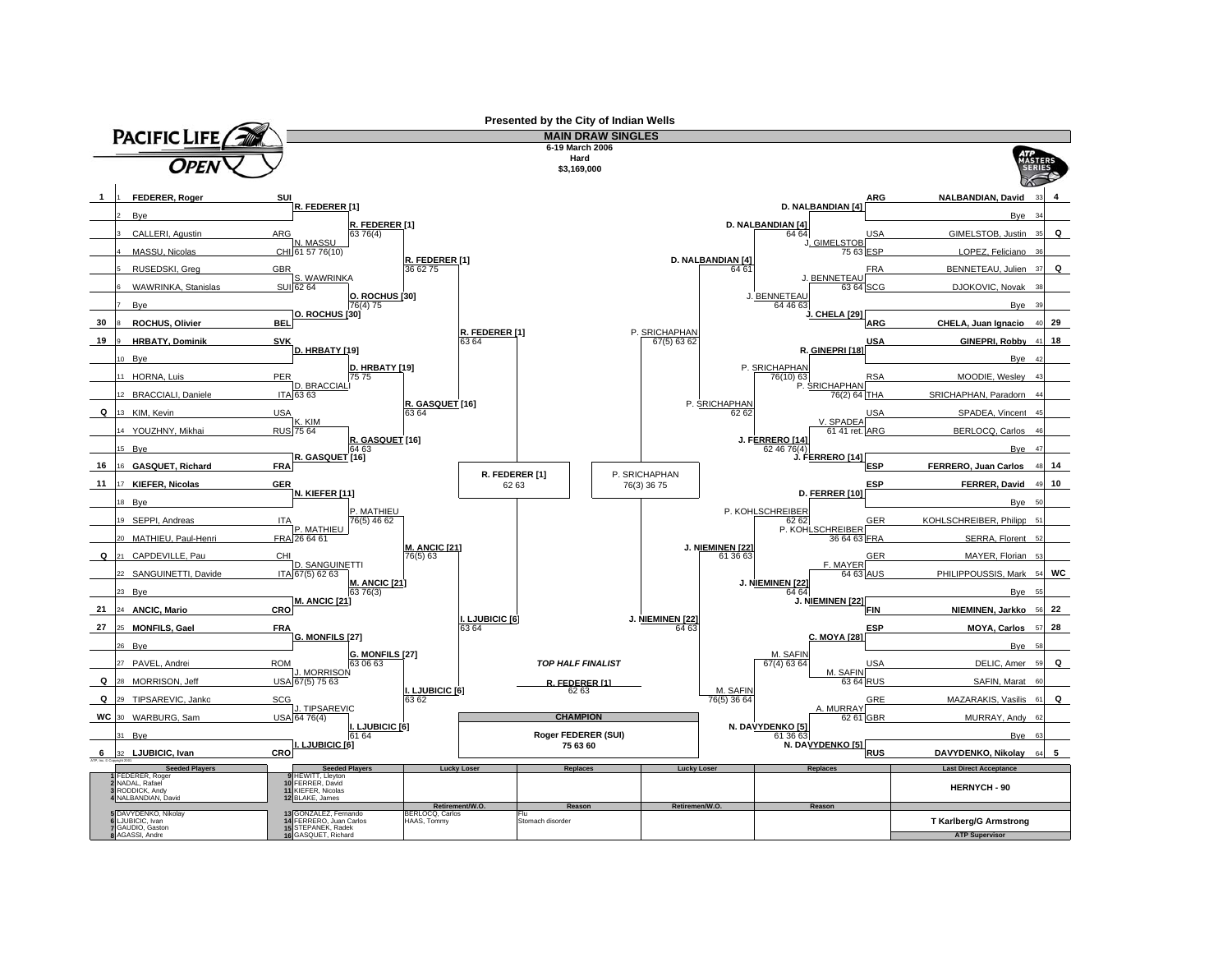